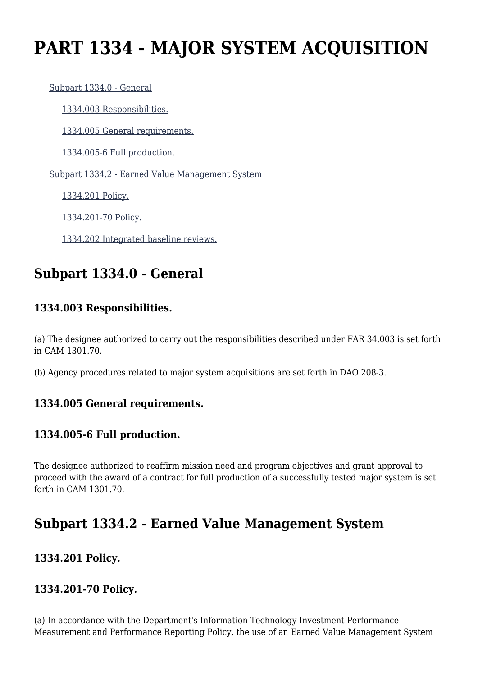# **PART 1334 - MAJOR SYSTEM ACQUISITION**

 [Subpart 1334.0 - General](https://login.acquisition.gov/%5Brp:link:car-part-1334%5D#Subpart_1334_0_T48_50648321) [1334.003 Responsibilities.](https://login.acquisition.gov/%5Brp:link:car-part-1334%5D#Section_1334_003_T48_5064832111) [1334.005 General requirements.](https://login.acquisition.gov/%5Brp:link:car-part-1334%5D#Section_1334_005_T48_5064832112) [1334.005-6 Full production.](https://login.acquisition.gov/%5Brp:link:car-part-1334%5D#Section_1334_005_6_T48_5064832113) [Subpart 1334.2 - Earned Value Management System](https://login.acquisition.gov/%5Brp:link:car-part-1334%5D#Subpart_1334_2_T48_50648322) [1334.201 Policy.](https://login.acquisition.gov/%5Brp:link:car-part-1334%5D#Section_1334_201_T48_5064832211) [1334.201-70 Policy.](https://login.acquisition.gov/%5Brp:link:car-part-1334%5D#Section_1334_201_70_T48_5064832212) [1334.202 Integrated baseline reviews.](https://login.acquisition.gov/%5Brp:link:car-part-1334%5D#Section_1334_202_T48_5064832213)

# **Subpart 1334.0 - General**

## **1334.003 Responsibilities.**

(a) The designee authorized to carry out the responsibilities described under FAR 34.003 is set forth in CAM 1301.70.

(b) Agency procedures related to major system acquisitions are set forth in DAO 208-3.

#### **1334.005 General requirements.**

## **1334.005-6 Full production.**

The designee authorized to reaffirm mission need and program objectives and grant approval to proceed with the award of a contract for full production of a successfully tested major system is set forth in CAM 1301.70.

# **Subpart 1334.2 - Earned Value Management System**

## **1334.201 Policy.**

## **1334.201-70 Policy.**

(a) In accordance with the Department's Information Technology Investment Performance Measurement and Performance Reporting Policy, the use of an Earned Value Management System